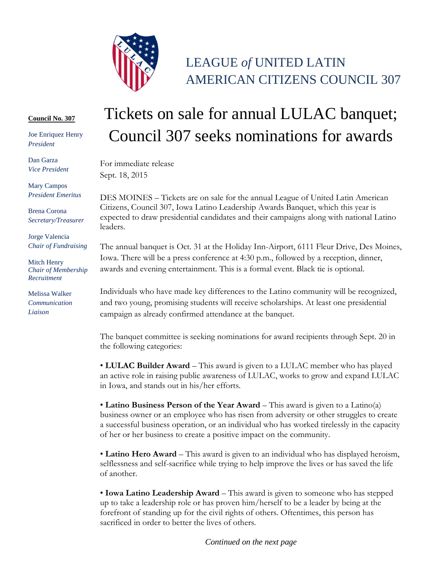

## LEAGUE *of* UNITED LATIN AMERICAN CITIZENS COUNCIL 307

## **Council No. 307**

Joe Enriquez Henry *President*

Dan Garza *Vice President*

Mary Campos *President Emeritus*

Brena Corona *Secretary/Treasurer*

Jorge Valencia *Chair of Fundraising*

Mitch Henry *Chair of Membership Recruitment*

Melissa Walker *Communication Liaison*

## Tickets on sale for annual LULAC banquet; Council 307 seeks nominations for awards

For immediate release Sept. 18, 2015

DES MOINES – Tickets are on sale for the annual League of United Latin American Citizens, Council 307, Iowa Latino Leadership Awards Banquet, which this year is expected to draw presidential candidates and their campaigns along with national Latino leaders.

The annual banquet is Oct. 31 at the Holiday Inn-Airport, 6111 Fleur Drive, Des Moines, Iowa. There will be a press conference at 4:30 p.m., followed by a reception, dinner, awards and evening entertainment. This is a formal event. Black tie is optional.

Individuals who have made key differences to the Latino community will be recognized, and two young, promising students will receive scholarships. At least one presidential campaign as already confirmed attendance at the banquet.

The banquet committee is seeking nominations for award recipients through Sept. 20 in the following categories:

• **LULAC Builder Award** – This award is given to a LULAC member who has played an active role in raising public awareness of LULAC, works to grow and expand LULAC in Iowa, and stands out in his/her efforts.

• **Latino Business Person of the Year Award** – This award is given to a Latino(a) business owner or an employee who has risen from adversity or other struggles to create a successful business operation, or an individual who has worked tirelessly in the capacity of her or her business to create a positive impact on the community.

• **Latino Hero Award** – This award is given to an individual who has displayed heroism, selflessness and self-sacrifice while trying to help improve the lives or has saved the life of another.

• **Iowa Latino Leadership Award** – This award is given to someone who has stepped up to take a leadership role or has proven him/herself to be a leader by being at the forefront of standing up for the civil rights of others. Oftentimes, this person has sacrificed in order to better the lives of others.

*Continued on the next page*